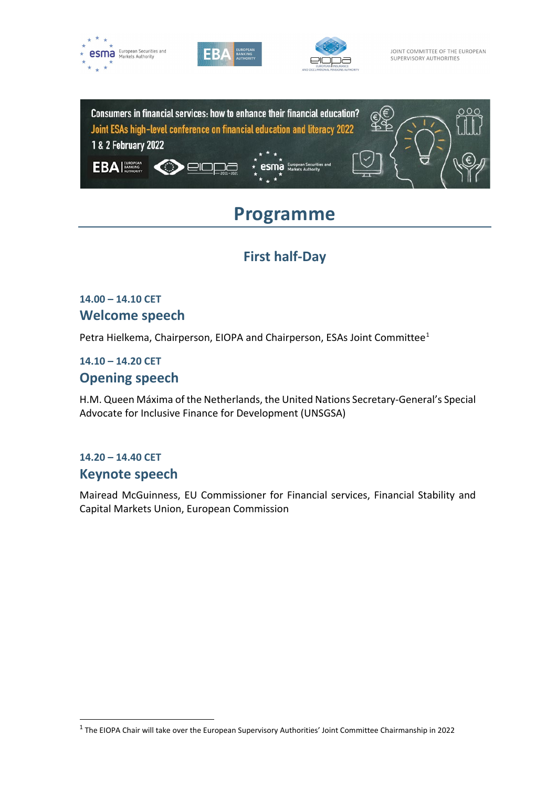







# **Programme**

# **First half-Day**

### **14.00 – 14.10 CET Welcome speech**

Petra Hielkema, Chairperson, EIOPA and Chairperson, ESAs Joint Committee<sup>[1](#page-0-0)</sup>

# **14.10 – 14.20 CET**

### **Opening speech**

H.M. Queen Máxima of the Netherlands, the United Nations Secretary-General's Special Advocate for Inclusive Finance for Development (UNSGSA)

## **14.20 – 14.40 CET Keynote speech**

Mairead McGuinness, EU Commissioner for Financial services, Financial Stability and Capital Markets Union, European Commission

<span id="page-0-0"></span><sup>1</sup> The EIOPA Chair will take over the European Supervisory Authorities' Joint Committee Chairmanship in 2022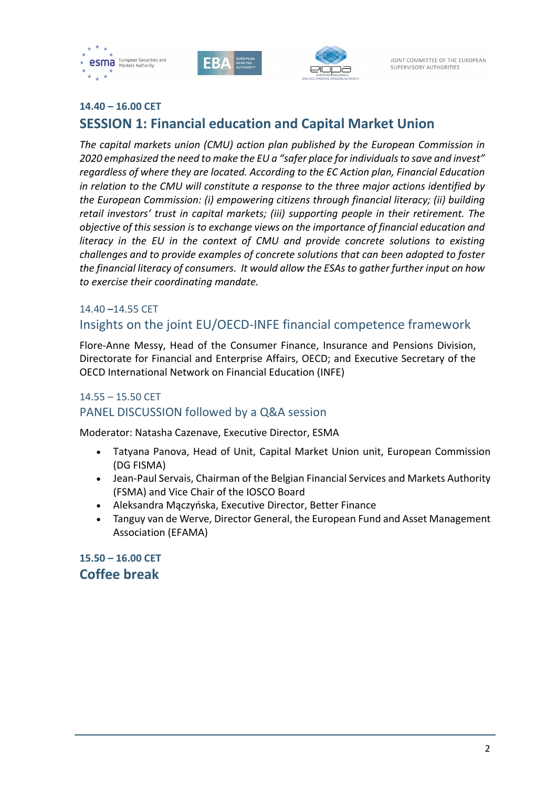





### **14.40 – 16.00 CET SESSION 1: Financial education and Capital Market Union**

*The capital markets union (CMU) action plan published by the European Commission in 2020 emphasized the need to make the EU a "safer place for individuals to save and invest" regardless of where they are located. According to the EC Action plan, Financial Education in relation to the CMU will constitute a response to the three major actions identified by the European Commission: (i) empowering citizens through financial literacy; (ii) building retail investors' trust in capital markets; (iii) supporting people in their retirement. The objective of this session is to exchange views on the importance of financial education and literacy in the EU in the context of CMU and provide concrete solutions to existing challenges and to provide examples of concrete solutions that can been adopted to foster the financial literacy of consumers. It would allow the ESAs to gather further input on how to exercise their coordinating mandate.*

#### 14.40 **–**14.55 CET Insights on the joint EU/OECD-INFE financial competence framework

Flore-Anne Messy, Head of the Consumer Finance, Insurance and Pensions Division, Directorate for Financial and Enterprise Affairs, OECD; and Executive Secretary of the OECD International Network on Financial Education (INFE)

### 14.55 – 15.50 CET PANEL DISCUSSION followed by a Q&A session

Moderator: Natasha Cazenave, Executive Director, ESMA

- Tatyana Panova, Head of Unit, Capital Market Union unit, European Commission (DG FISMA)
- Jean-Paul Servais, Chairman of the Belgian Financial Services and Markets Authority (FSMA) and Vice Chair of the IOSCO Board
- Aleksandra Mączyńska, Executive Director, Better Finance
- Tanguy van de Werve, Director General, the European Fund and Asset Management Association (EFAMA)

**15.50 – 16.00 CET Coffee break**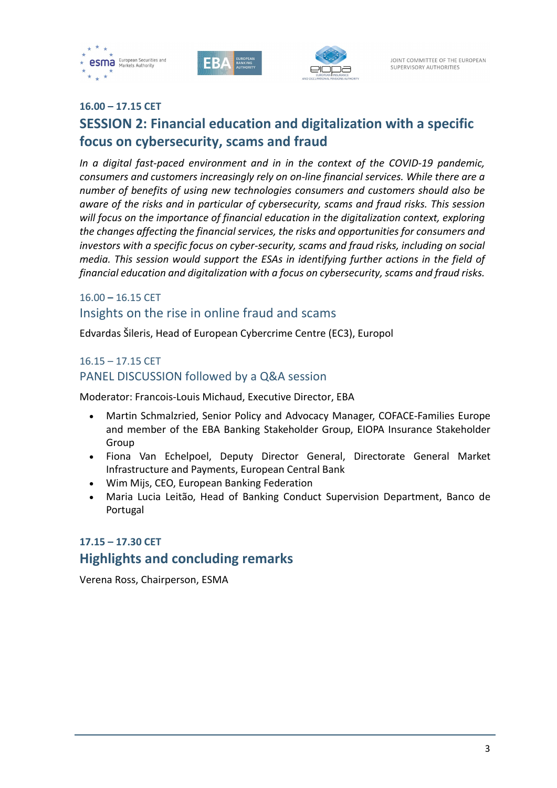





#### **16.00 – 17.15 CET**

# **SESSION 2: Financial education and digitalization with a specific focus on cybersecurity, scams and fraud**

*In a digital fast-paced environment and in in the context of the COVID-19 pandemic, consumers and customers increasingly rely on on-line financial services. While there are a number of benefits of using new technologies consumers and customers should also be aware of the risks and in particular of cybersecurity, scams and fraud risks. This session will focus on the importance of financial education in the digitalization context, exploring the changes affecting the financial services, the risks and opportunities for consumers and investors with a specific focus on cyber-security, scams and fraud risks, including on social media. This session would support the ESAs in identifying further actions in the field of financial education and digitalization with a focus on cybersecurity, scams and fraud risks.*

### 16.00 **–** 16.15 CET Insights on the rise in online fraud and scams

Edvardas Šileris, Head of European Cybercrime Centre (EC3), Europol

### 16.15 – 17.15 CET PANEL DISCUSSION followed by a Q&A session

Moderator: Francois-Louis Michaud, Executive Director, EBA

- Martin Schmalzried, Senior Policy and Advocacy Manager, COFACE-Families Europe and member of the EBA Banking Stakeholder Group, EIOPA Insurance Stakeholder Group
- Fiona Van Echelpoel, Deputy Director General, Directorate General Market Infrastructure and Payments, European Central Bank
- Wim Mijs, CEO, European Banking Federation
- Maria Lucia Leitão, Head of Banking Conduct Supervision Department, Banco de Portugal

### **17.15 – 17.30 CET**

### **Highlights and concluding remarks**

Verena Ross, Chairperson, ESMA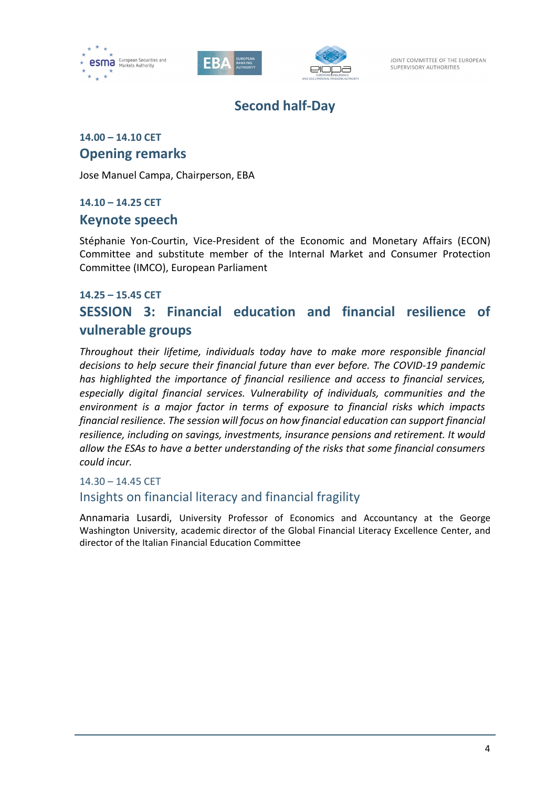





JOINT COMMITTEE OF THE EUROPEAN SUPERVISORY AUTHORITIES

# **Second half-Day**

### **14.00 – 14.10 CET Opening remarks**

Jose Manuel Campa, Chairperson, EBA

#### **14.10 – 14.25 CET**

### **Keynote speech**

Stéphanie Yon-Courtin, Vice-President of the Economic and Monetary Affairs (ECON) Committee and substitute member of the Internal Market and Consumer Protection Committee (IMCO), European Parliament

#### **14.25 – 15.45 CET**

# **SESSION 3: Financial education and financial resilience of vulnerable groups**

*Throughout their lifetime, individuals today have to make more responsible financial decisions to help secure their financial future than ever before. The COVID-19 pandemic has highlighted the importance of financial resilience and access to financial services, especially digital financial services. Vulnerability of individuals, communities and the environment is a major factor in terms of exposure to financial risks which impacts financial resilience. The session will focus on how financial education can support financial resilience, including on savings, investments, insurance pensions and retirement. It would allow the ESAs to have a better understanding of the risks that some financial consumers could incur.*

### 14.30 – 14.45 CET Insights on financial literacy and financial fragility

Annamaria Lusardi, University Professor of Economics and Accountancy at the George Washington University, academic director of the Global Financial Literacy Excellence Center, and director of the Italian Financial Education Committee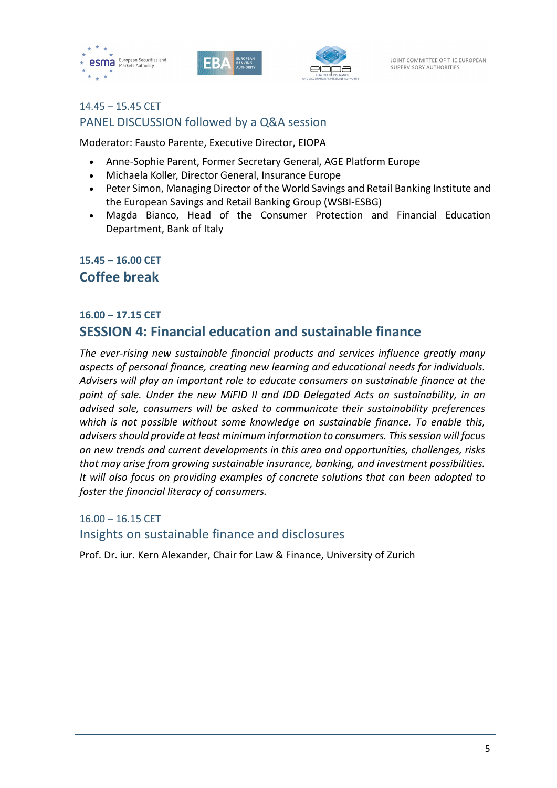





### 14.45 – 15.45 CET PANEL DISCUSSION followed by a Q&A session

Moderator: Fausto Parente, Executive Director, EIOPA

- Anne-Sophie Parent, Former Secretary General, AGE Platform Europe
- Michaela Koller, Director General, Insurance Europe
- Peter Simon, Managing Director of the World Savings and Retail Banking Institute and the European Savings and Retail Banking Group (WSBI-ESBG)
- Magda Bianco, Head of the Consumer Protection and Financial Education Department, Bank of Italy

### **15.45 – 16.00 CET Coffee break**

## **16.00 – 17.15 CET SESSION 4: Financial education and sustainable finance**

*The ever-rising new sustainable financial products and services influence greatly many aspects of personal finance, creating new learning and educational needs for individuals. Advisers will play an important role to educate consumers on sustainable finance at the point of sale. Under the new MiFID II and IDD Delegated Acts on sustainability, in an advised sale, consumers will be asked to communicate their sustainability preferences which is not possible without some knowledge on sustainable finance. To enable this, advisers should provide at least minimum information to consumers. This session will focus on new trends and current developments in this area and opportunities, challenges, risks that may arise from growing sustainable insurance, banking, and investment possibilities. It will also focus on providing examples of concrete solutions that can been adopted to foster the financial literacy of consumers.*

### 16.00 – 16.15 CET Insights on sustainable finance and disclosures

Prof. Dr. iur. Kern Alexander, Chair for Law & Finance, University of Zurich